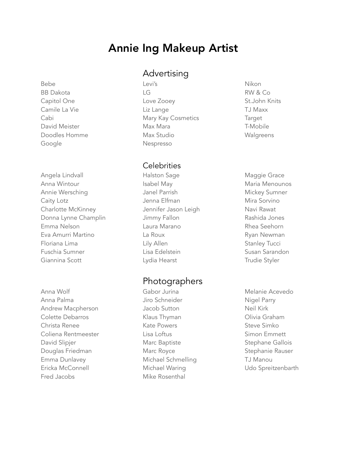# Annie Ing Makeup Artist

Bebe Levi's Nikon Google **Nespresso** 

Angela Lindvall Halston Sage Maggie Grace Anna Wintour **Isabel May Maria Menounos** Isabel May **Maria Menounos** Annie Wersching The Mickey Sumner Janel Parrish Mickey Sumner Caity Lotz **Caity Lotal** Caity Lotz **Caity Lotal** Charlotte McKinney **State State State Jennifer Jason Leigh** Navi Rawat Donna Lynne Champlin Jimmy Fallon **Donna Lynne Champlin** Emma Nelson Laura Marano Rhea Seehorn Eva Amurri Martino  $\qquad \qquad$  La Roux  $\qquad \qquad$  Ryan Newman Floriana Lima **Example 2018** Lily Allen **Contract Contract Stanley Tucci** Fuschia Sumner Lisa Edelstein Susan Sarandon Giannina Scott **Scott** Lydia Hearst **Trudie Styler** Communications Controller

Anna Wolf **Gabor Jurina** Melanie Acevedo Anna Palma and Anna Palma and Anna Palma and Anna Aire Schneider and Anna Nigel Parry Andrew Macpherson **Machall** Jacob Sutton Meil Kirk Colette Debarros **Klaus Thyman** Colette Debarros **Colette Debarros** Christa Renee **Kate Powers** Steve Simko Coliena Rentmeester Lisa Loftus Simon Emmett David Slipjer **Marc Baptiste** Stephane Gallois Containers Stephane Gallois Douglas Friedman Marc Royce Stephanie Rauser Emma Dunlavey **Michael Schmelling** TJ Manou Ericka McConnell **Michael Waring** Michael Waring Udo Spreitzenbarth Fred Jacobs Mike Rosenthal

## Advertising

BB Dakota LG RW & Co Capitol One Love Zooey St.John Knits Camile La Vie **Lange** Camile La Vie Lange **Camile La Vie Lange** Camile La Vie La Vie La Lange Camile La Vie La La Cabi **Mary Kay Cosmetics** Target David Meister **Max Max Mara** T-Mobile Doodles Homme Max Studio Walgreens

#### **Celebrities**

### Photographers